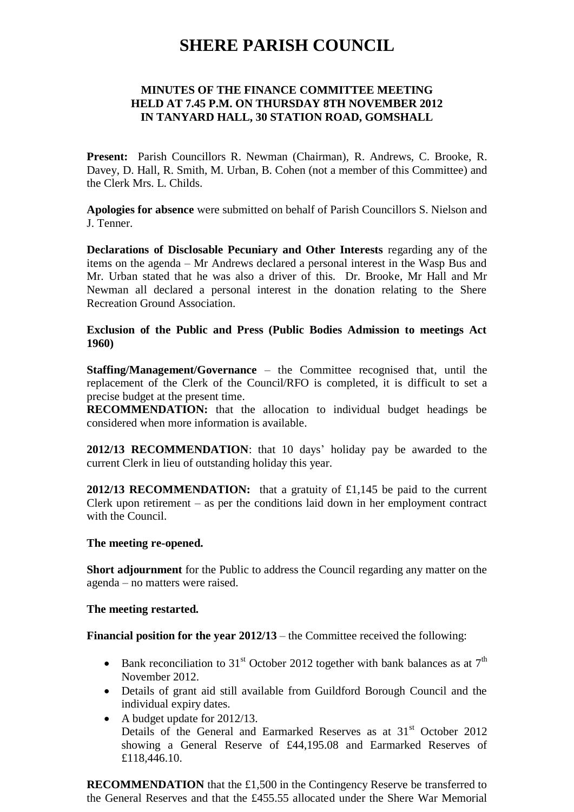# **SHERE PARISH COUNCIL**

## **MINUTES OF THE FINANCE COMMITTEE MEETING HELD AT 7.45 P.M. ON THURSDAY 8TH NOVEMBER 2012 IN TANYARD HALL, 30 STATION ROAD, GOMSHALL**

**Present:** Parish Councillors R. Newman (Chairman), R. Andrews, C. Brooke, R. Davey, D. Hall, R. Smith, M. Urban, B. Cohen (not a member of this Committee) and the Clerk Mrs. L. Childs.

**Apologies for absence** were submitted on behalf of Parish Councillors S. Nielson and J. Tenner.

**Declarations of Disclosable Pecuniary and Other Interests** regarding any of the items on the agenda – Mr Andrews declared a personal interest in the Wasp Bus and Mr. Urban stated that he was also a driver of this. Dr. Brooke, Mr Hall and Mr Newman all declared a personal interest in the donation relating to the Shere Recreation Ground Association.

### **Exclusion of the Public and Press (Public Bodies Admission to meetings Act 1960)**

**Staffing/Management/Governance** – the Committee recognised that, until the replacement of the Clerk of the Council/RFO is completed, it is difficult to set a precise budget at the present time.

**RECOMMENDATION:** that the allocation to individual budget headings be considered when more information is available.

**2012/13 RECOMMENDATION**: that 10 days' holiday pay be awarded to the current Clerk in lieu of outstanding holiday this year.

**2012/13 RECOMMENDATION:** that a gratuity of £1,145 be paid to the current Clerk upon retirement – as per the conditions laid down in her employment contract with the Council.

#### **The meeting re-opened.**

**Short adjournment** for the Public to address the Council regarding any matter on the agenda – no matters were raised.

#### **The meeting restarted.**

**Financial position for the year 2012/13** – the Committee received the following:

- Bank reconciliation to 31<sup>st</sup> October 2012 together with bank balances as at  $7<sup>th</sup>$ November 2012.
- Details of grant aid still available from Guildford Borough Council and the individual expiry dates.
- A budget update for 2012/13. Details of the General and Earmarked Reserves as at 31<sup>st</sup> October 2012 showing a General Reserve of £44,195.08 and Earmarked Reserves of £118,446.10.

**RECOMMENDATION** that the £1,500 in the Contingency Reserve be transferred to the General Reserves and that the £455.55 allocated under the Shere War Memorial